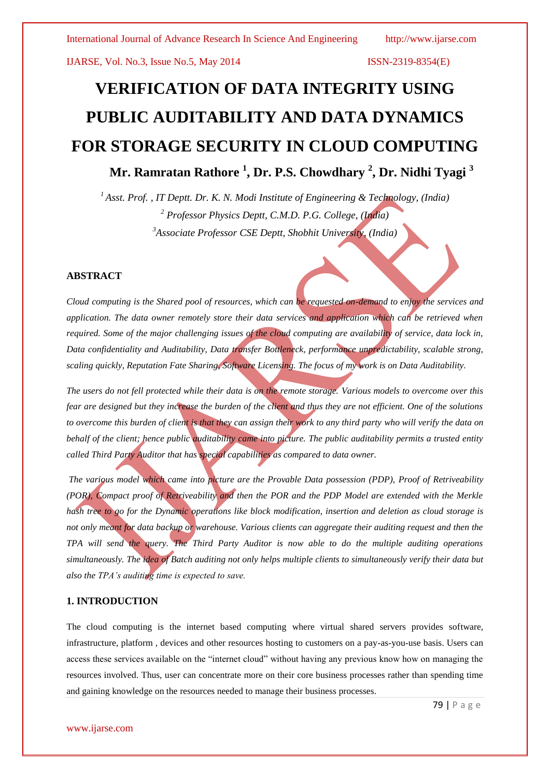# **VERIFICATION OF DATA INTEGRITY USING PUBLIC AUDITABILITY AND DATA DYNAMICS FOR STORAGE SECURITY IN CLOUD COMPUTING Mr. Ramratan Rathore <sup>1</sup> , Dr. P.S. Chowdhary <sup>2</sup> , Dr. Nidhi Tyagi <sup>3</sup>**

*<sup>1</sup>Asst. Prof. , IT Deptt. Dr. K. N. Modi Institute of Engineering & Technology, (India) <sup>2</sup> Professor Physics Deptt, C.M.D. P.G. College, (India) <sup>3</sup>Associate Professor CSE Deptt, Shobhit University, (India)*

# **ABSTRACT**

*Cloud computing is the Shared pool of resources, which can be requested on-demand to enjoy the services and application. The data owner remotely store their data services and application which can be retrieved when required. Some of the major challenging issues of the cloud computing are availability of service, data lock in, Data confidentiality and Auditability, Data transfer Bottleneck, performance unpredictability, scalable strong, scaling quickly, Reputation Fate Sharing, Software Licensing. The focus of my work is on Data Auditability.*

*The users do not fell protected while their data is on the remote storage. Various models to overcome over this fear are designed but they increase the burden of the client and thus they are not efficient. One of the solutions to overcome this burden of client is that they can assign their work to any third party who will verify the data on behalf of the client; hence public auditability came into picture. The public auditability permits a trusted entity called Third Party Auditor that has special capabilities as compared to data owner.* 

*The various model which came into picture are the Provable Data possession (PDP), Proof of Retriveability (POR), Compact proof of Retriveability and then the POR and the PDP Model are extended with the Merkle hash tree to go for the Dynamic operations like block modification, insertion and deletion as cloud storage is not only meant for data backup or warehouse. Various clients can aggregate their auditing request and then the TPA will send the query. The Third Party Auditor is now able to do the multiple auditing operations simultaneously. The idea of Batch auditing not only helps multiple clients to simultaneously verify their data but also the TPA's auditing time is expected to save.*

# **1. INTRODUCTION**

The cloud computing is the internet based computing where virtual shared servers provides software, infrastructure, platform , devices and other resources hosting to customers on a pay-as-you-use basis. Users can access these services available on the "internet cloud" without having any previous know how on managing the resources involved. Thus, user can concentrate more on their core business processes rather than spending time and gaining knowledge on the resources needed to manage their business processes.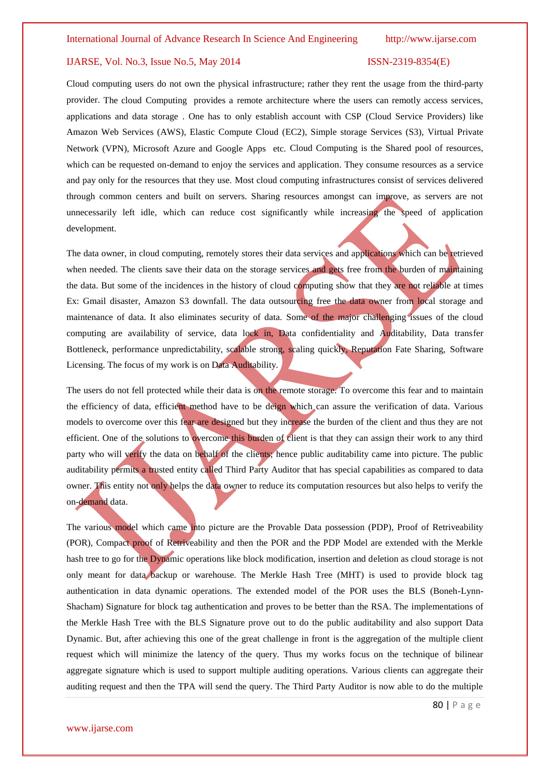Cloud computing users do not own the physical infrastructure; rather they rent the usage from the third-party provider. The cloud Computing provides a remote architecture where the users can remotly access services, applications and data storage . One has to only establish account with CSP (Cloud Service Providers) like Amazon Web Services (AWS), Elastic Compute Cloud (EC2), Simple storage Services (S3), Virtual Private Network (VPN), Microsoft Azure and Google Apps etc. Cloud Computing is the Shared pool of resources, which can be requested on-demand to enjoy the services and application. They consume resources as a service and pay only for the resources that they use. Most cloud computing infrastructures consist of services delivered through common centers and built on servers. Sharing resources amongst can improve, as servers are not unnecessarily left idle, which can reduce cost significantly while increasing the speed of application development.

The data owner, in cloud computing, remotely stores their data services and applications which can be retrieved when needed. The clients save their data on the storage services and gets free from the burden of maintaining the data. But some of the incidences in the history of cloud computing show that they are not reliable at times Ex: Gmail disaster, Amazon S3 downfall. The data outsourcing free the data owner from local storage and maintenance of data. It also eliminates security of data. Some of the major challenging issues of the cloud computing are availability of service, data lock in, Data confidentiality and Auditability, Data transfer Bottleneck, performance unpredictability, scalable strong, scaling quickly, Reputation Fate Sharing, Software Licensing. The focus of my work is on Data Auditability.

The users do not fell protected while their data is on the remote storage. To overcome this fear and to maintain the efficiency of data, efficient method have to be deign which can assure the verification of data. Various models to overcome over this fear are designed but they increase the burden of the client and thus they are not efficient. One of the solutions to overcome this burden of client is that they can assign their work to any third party who will verify the data on behalf of the clients; hence public auditability came into picture. The public auditability permits a trusted entity called Third Party Auditor that has special capabilities as compared to data owner. This entity not only helps the data owner to reduce its computation resources but also helps to verify the on-demand data.

The various model which came into picture are the Provable Data possession (PDP), Proof of Retriveability (POR), Compact proof of Retriveability and then the POR and the PDP Model are extended with the Merkle hash tree to go for the Dynamic operations like block modification, insertion and deletion as cloud storage is not only meant for data backup or warehouse. The Merkle Hash Tree (MHT) is used to provide block tag authentication in data dynamic operations. The extended model of the POR uses the BLS (Boneh-Lynn-Shacham) Signature for block tag authentication and proves to be better than the RSA. The implementations of the Merkle Hash Tree with the BLS Signature prove out to do the public auditability and also support Data Dynamic. But, after achieving this one of the great challenge in front is the aggregation of the multiple client request which will minimize the latency of the query. Thus my works focus on the technique of bilinear aggregate signature which is used to support multiple auditing operations. Various clients can aggregate their auditing request and then the TPA will send the query. The Third Party Auditor is now able to do the multiple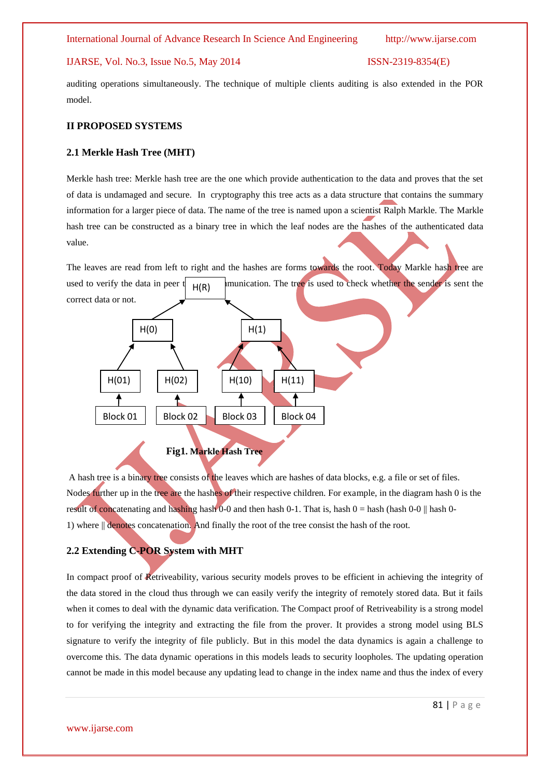auditing operations simultaneously. The technique of multiple clients auditing is also extended in the POR model.

## **II PROPOSED SYSTEMS**

# **2.1 Merkle Hash Tree (MHT)**

Merkle hash tree: Merkle hash tree are the one which provide authentication to the data and proves that the set of data is undamaged and secure. In cryptography this tree acts as a data structure that contains the summary information for a larger piece of data. The name of the tree is named upon a scientist Ralph Markle. The Markle hash tree can be constructed as a binary tree in which the leaf nodes are the hashes of the authenticated data value.

The leaves are read from left to right and the hashes are forms towards the root. Today Markle hash tree are used to verify the data in peer  $\parallel$  <sub>H(P)</sub> munication. The tree is used to check whether the sender is sent the correct data or not. **Fig1. Markle Hash Tree**  $H(R)$  $H(1)$  $H(10)$   $H(11)$ H(0)  $H(01)$  |  $H(02)$ Block 01 | Block 02 | Block 03 | Block 04

A hash tree is a binary tree consists of the leaves which are hashes of data blocks, e.g. a file or set of files. Nodes further up in the tree are the hashes of their respective children. For example, in the diagram hash 0 is the result of concatenating and hashing hash 0-0 and then hash 0-1. That is, hash  $0 =$  hash  $($ hash  $0 - 0$  || hash 0-1) where || denotes concatenation. And finally the root of the tree consist the hash of the root.

# **2.2 Extending C-POR System with MHT**

In compact proof of Retriveability, various security models proves to be efficient in achieving the integrity of the data stored in the cloud thus through we can easily verify the integrity of remotely stored data. But it fails when it comes to deal with the dynamic data verification. The Compact proof of Retriveability is a strong model to for verifying the integrity and extracting the file from the prover. It provides a strong model using BLS signature to verify the integrity of file publicly. But in this model the data dynamics is again a challenge to overcome this. The data dynamic operations in this models leads to security loopholes. The updating operation cannot be made in this model because any updating lead to change in the index name and thus the index of every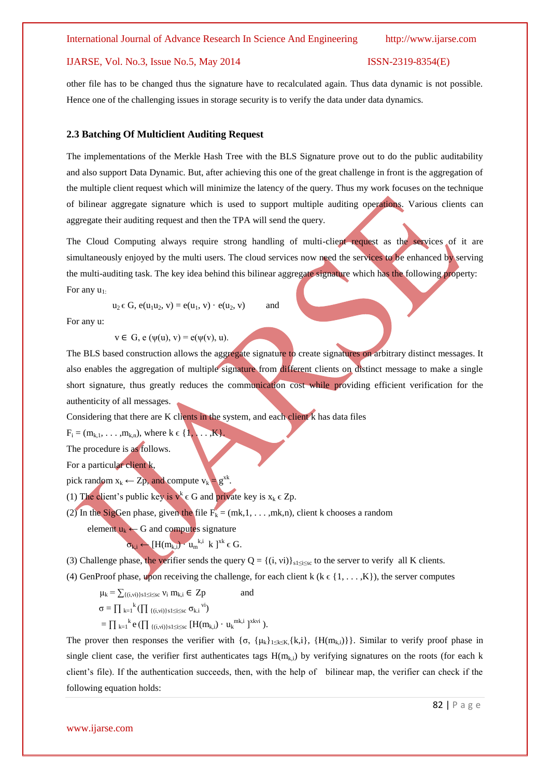other file has to be changed thus the signature have to recalculated again. Thus data dynamic is not possible. Hence one of the challenging issues in storage security is to verify the data under data dynamics.

### **2.3 Batching Of Multiclient Auditing Request**

The implementations of the Merkle Hash Tree with the BLS Signature prove out to do the public auditability and also support Data Dynamic. But, after achieving this one of the great challenge in front is the aggregation of the multiple client request which will minimize the latency of the query. Thus my work focuses on the technique of bilinear aggregate signature which is used to support multiple auditing operations. Various clients can aggregate their auditing request and then the TPA will send the query.

The Cloud Computing always require strong handling of multi-client request as the services of it are simultaneously enjoyed by the multi users. The cloud services now need the services to be enhanced by serving the multi-auditing task. The key idea behind this bilinear aggregate signature which has the following property: For any  $u_1$ .

 $u_2 \in G$ ,  $e(u_1u_2, v) = e(u_1, v) \cdot e(u_2, v)$  and

For any u:

 $v \in G$ , e  $(\psi(u), v) = e(\psi(v), u)$ .

The BLS based construction allows the aggregate signature to create signatures on arbitrary distinct messages. It also enables the aggregation of multiple signature from different clients on distinct message to make a single short signature, thus greatly reduces the communication cost while providing efficient verification for the authenticity of all messages.

Considering that there are K clients in the system, and each client k has data files

 $F_i = (m_{k_1}, \ldots, m_{k_n}),$  where  $k \in \{1, \ldots, K\}.$ 

The procedure is as follows.

For a particular client k,

pick random  $x_k \leftarrow Zp$ , and compute  $v_k = g^{x_k}$ .

(1) The client's public key is  $v^k \in G$  and private key is  $x_k \in Z_p$ .

(2) In the SigGen phase, given the file  $F_k = (mk, 1, \ldots, mk, n)$ , client k chooses a random

element  $u_k \leftarrow G$  and computes signature

$$
\sigma_{k,i} \leftarrow [H(m_{k,i}) \cdot u_m^{k,i} \, k \, ]^{xk} \in G.
$$

(3) Challenge phase, the verifier sends the query  $Q = \{(i, vi)\}_{s1 \le i \le s}$  to the server to verify all K clients.

(4) GenProof phase, upon receiving the challenge, for each client k ( $k \in \{1, \ldots, K\}$ ), the server computes

 $\mu_k = \sum_{\{(i,vi)\}\text{s}} s_{i \leq s} v_i \text{ } m_{k,i} \in \text{ } Zp \text{ }$  and  $\sigma = \prod_{k=1}^k (\prod_{\{(i,vi)\}\text{s1}\leq \text{i} \leq \text{s} \text{c}} \sigma_{k,i}^{vij})$  $=\prod_{k=1}^k e\left(\prod_{\{(i,vi)\}\{s\}\leq i\leq s\} \left[H(m_{k,i})\cdot u_k^{mk,i}\right]^{xkvi}\right).$ 

The prover then responses the verifier with  $\{\sigma, \{\mu_k\}_{1\leq k\leq K}, \{k,i\}, \{H(m_{k,i})\}\}\)$ . Similar to verify proof phase in single client case, the verifier first authenticates tags  $H(m_{k,i})$  by verifying signatures on the roots (for each k client's file). If the authentication succeeds, then, with the help of bilinear map, the verifier can check if the following equation holds: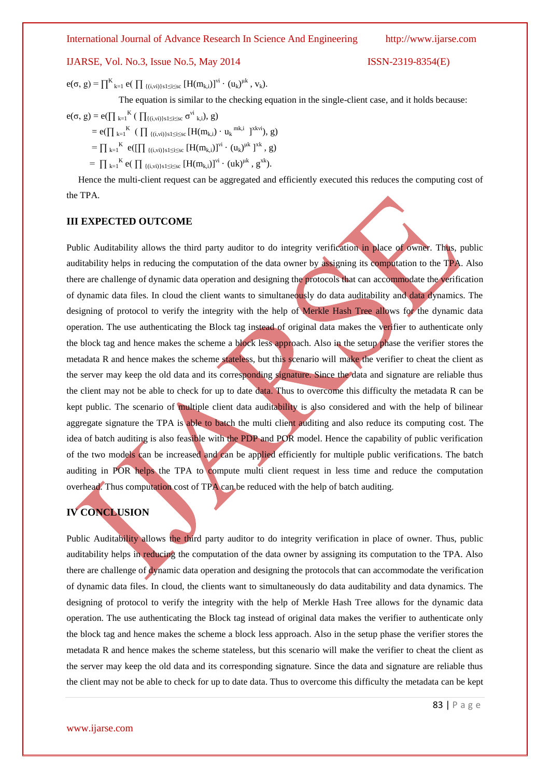# International Journal of Advance Research In Science And Engineering http://www.ijarse.com

# IJARSE, Vol. No.3, Issue No.5, May 2014 ISSN-2319-8354(E)

 $e(\sigma, g) = \prod_{k=1}^{K} e(\prod_{\{(i,vi)\}\{i\leq s\}} [H(m_{k,i})]^{vi} \cdot (u_k)^{\mu k}, v_k).$ 

The equation is similar to the checking equation in the single-client case, and it holds because:

 $e(σ, g) = e(Π_{k=1}^K ( ∩_{{(i,vi)}s1 ≤ i ≤ sc} σ<sup>vi</sup>_{k,i}), g)$  $= e(\prod_{k=1}^K (\prod_{\{(i,vi)\}\{i\leq s\}} [H(m_{k,i}) \cdot u_k^{mk,i}]^{xkvi}), g)$  $=\prod_{k=1}^{K} e([\prod_{\{(i,vi)\}\{s1\leq i\leq sc} [H(m_{k,i})]^{\nu i} \cdot (u_k)^{\mu k}]^{xk}, g)$ 

 $= \prod_{k=1}^{K} e\left(\prod_{\{(i,vi)\}\{s\} \leq i \leq sc} [H(m_{k,i})]^{vi} \cdot (uk)^{uk}, g^{xk}\right).$ 

 Hence the multi-client request can be aggregated and efficiently executed this reduces the computing cost of the TPA.

# **III EXPECTED OUTCOME**

Public Auditability allows the third party auditor to do integrity verification in place of owner. Thus, public auditability helps in reducing the computation of the data owner by assigning its computation to the TPA. Also there are challenge of dynamic data operation and designing the protocols that can accommodate the verification of dynamic data files. In cloud the client wants to simultaneously do data auditability and data dynamics. The designing of protocol to verify the integrity with the help of Merkle Hash Tree allows for the dynamic data operation. The use authenticating the Block tag instead of original data makes the verifier to authenticate only the block tag and hence makes the scheme a block less approach. Also in the setup phase the verifier stores the metadata R and hence makes the scheme stateless, but this scenario will make the verifier to cheat the client as the server may keep the old data and its corresponding signature. Since the data and signature are reliable thus the client may not be able to check for up to date data. Thus to overcome this difficulty the metadata R can be kept public. The scenario of multiple client data auditability is also considered and with the help of bilinear aggregate signature the TPA is able to batch the multi client auditing and also reduce its computing cost. The idea of batch auditing is also feasible with the PDP and POR model. Hence the capability of public verification of the two models can be increased and can be applied efficiently for multiple public verifications. The batch auditing in POR helps the TPA to compute multi client request in less time and reduce the computation overhead. Thus computation cost of TPA can be reduced with the help of batch auditing.

# **IV CONCLUSION**

Public Auditability allows the third party auditor to do integrity verification in place of owner. Thus, public auditability helps in reducing the computation of the data owner by assigning its computation to the TPA. Also there are challenge of dynamic data operation and designing the protocols that can accommodate the verification of dynamic data files. In cloud, the clients want to simultaneously do data auditability and data dynamics. The designing of protocol to verify the integrity with the help of Merkle Hash Tree allows for the dynamic data operation. The use authenticating the Block tag instead of original data makes the verifier to authenticate only the block tag and hence makes the scheme a block less approach. Also in the setup phase the verifier stores the metadata R and hence makes the scheme stateless, but this scenario will make the verifier to cheat the client as the server may keep the old data and its corresponding signature. Since the data and signature are reliable thus the client may not be able to check for up to date data. Thus to overcome this difficulty the metadata can be kept